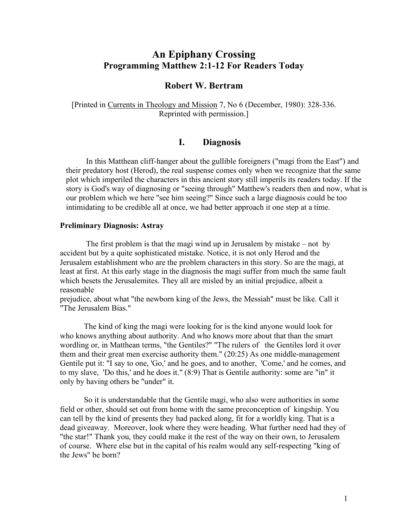# **An Epiphany Crossing Programming Matthew 2:1-12 For Readers Today**

# **Robert W. Bertram**

[Printed in Currents in Theology and Mission 7, No 6 (December, 1980): 328-336. Reprinted with permission.]

### **I. Diagnosis**

In this Matthean cliff-hanger about the gullible foreigners ("magi from the East") and their predatory host (Herod), the real suspense comes only when we recognize that the same plot which imperiled the characters in this ancient story still imperils its readers today. If the story is God's way of diagnosing or "seeing through" Matthew's readers then and now, what is our problem which we here "see him seeing?" Since such a large diagnosis could be too intimidating to be credible all at once, we had better approach it one step at a time.

#### **Preliminary Diagnosis: Astray**

The first problem is that the magi wind up in Jerusalem by mistake – not by accident but by a quite sophisticated mistake. Notice, it is not only Herod and the Jerusalem establishment who are the problem characters in this story. So are the magi, at least at first. At this early stage in the diagnosis the magi suffer from much the same fault which besets the Jerusalemites. They all are misled by an initial prejudice, albeit a reasonable

prejudice, about what "the newborn king of the Jews, the Messiah" must be like. Call it "The Jerusalem Bias."

The kind of king the magi were looking for is the kind anyone would look for who knows anything about authority. And who knows more about that than the smart wordling or, in Matthean terms, "the Gentiles?" "The rulers of the Gentiles lord it over them and their great men exercise authority them." (20:25) As one middle-management Gentile put it: "I say to one, 'Go,' and he goes, and to another, 'Come,' and he comes, and to my slave, 'Do this,' and he does it." (8:9) That is Gentile authority: some are "in" it only by having others be "under" it.

So it is understandable that the Gentile magi, who also were authorities in some field or other, should set out from home with the same preconception of kingship. You can tell by the kind of presents they had packed along, fit for a worldly king. That is a dead giveaway. Moreover, look where they were heading. What further need had they of "the star!" Thank you, they could make it the rest of the way on their own, to Jerusalem of course. Where else but in the capital of his realm would any self-respecting "king of the Jews" be born?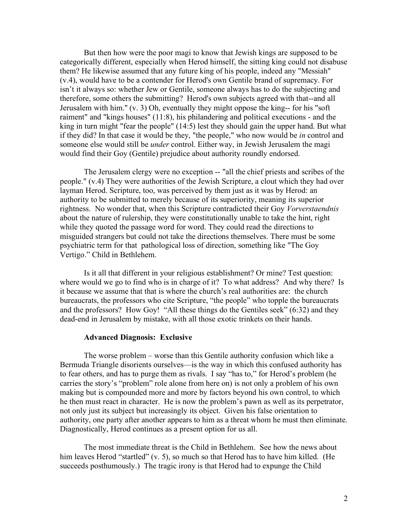But then how were the poor magi to know that Jewish kings are supposed to be categorically different, especially when Herod himself, the sitting king could not disabuse them? He likewise assumed that any future king of his people, indeed any "Messiah" (v.4), would have to be a contender for Herod's own Gentile brand of supremacy. For isn't it always so: whether Jew or Gentile, someone always has to do the subjecting and therefore, some others the submitting? Herod's own subjects agreed with that--and all Jerusalem with him.'' (v. 3) Oh, eventually they might oppose the king-- for his "soft raiment" and "kings houses" (11:8), his philandering and political executions - and the king in turn might "fear the people" (14:5) lest they should gain the upper hand. But what if they did? In that case it would be they, "the people," who now would be *in* control and someone else would still be *under* control. Either way, in Jewish Jerusalem the magi would find their Goy (Gentile) prejudice about authority roundly endorsed.

The Jerusalem clergy were no exception -- "all the chief priests and scribes of the people." (v.4) They were authorities of the Jewish Scripture, a clout which they had over layman Herod. Scripture, too, was perceived by them just as it was by Herod: an authority to be submitted to merely because of its superiority, meaning its superior rightness. No wonder that, when this Scripture contradicted their Goy *Vorverstaendnis* about the nature of rulership, they were constitutionally unable to take the hint, right while they quoted the passage word for word. They could read the directions to misguided strangers but could not take the directions themselves. There must be some psychiatric term for that pathological loss of direction, something like "The Goy Vertigo." Child in Bethlehem.

Is it all that different in your religious establishment? Or mine? Test question: where would we go to find who is in charge of it? To what address? And why there? Is it because we assume that that is where the church's real authorities are: the church bureaucrats, the professors who cite Scripture, "the people" who topple the bureaucrats and the professors? How Goy! "All these things do the Gentiles seek" (6:32) and they dead-end in Jerusalem by mistake, with all those exotic trinkets on their hands.

#### **Advanced Diagnosis: Exclusive**

The worse problem – worse than this Gentile authority confusion which like a Bermuda Triangle disorients ourselves—is the way in which this confused authority has to fear others, and has to purge them as rivals. I say "has to," for Herod's problem (he carries the story's "problem" role alone from here on) is not only a problem of his own making but is compounded more and more by factors beyond his own control, to which he then must react in character. He is now the problem's pawn as well as its perpetrator, not only just its subject but increasingly its object. Given his false orientation to authority, one party after another appears to him as a threat whom he must then eliminate. Diagnostically, Herod continues as a present option for us all.

The most immediate threat is the Child in Bethlehem. See how the news about him leaves Herod "startled" (v. 5), so much so that Herod has to have him killed. (He succeeds posthumously.) The tragic irony is that Herod had to expunge the Child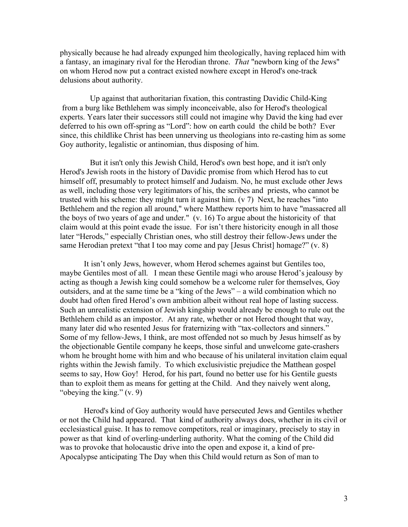physically because he had already expunged him theologically, having replaced him with a fantasy, an imaginary rival for the Herodian throne. *That* "newborn king of the Jews" on whom Herod now put a contract existed nowhere except in Herod's one-track delusions about authority.

Up against that authoritarian fixation, this contrasting Davidic Child-King from a burg like Bethlehem was simply inconceivable, also for Herod's theological experts. Years later their successors still could not imagine why David the king had ever deferred to his own off-spring as "Lord": how on earth could the child be both? Ever since, this childlike Christ has been unnerving us theologians into re-casting him as some Goy authority, legalistic or antinomian, thus disposing of him.

But it isn't only this Jewish Child, Herod's own best hope, and it isn't only Herod's Jewish roots in the history of Davidic promise from which Herod has to cut himself off, presumably to protect himself and Judaism. No, he must exclude other Jews as well, including those very legitimators of his, the scribes and priests, who cannot be trusted with his scheme: they might turn it against him. (v 7) Next, he reaches "into Bethlehem and the region all around," where Matthew reports him to have "massacred all the boys of two years of age and under." (v. 16) To argue about the historicity of that claim would at this point evade the issue. For isn't there historicity enough in all those later "Herods," especially Christian ones, who still destroy their fellow-Jews under the same Herodian pretext "that I too may come and pay [Jesus Christ] homage?" (v. 8)

It isn't only Jews, however, whom Herod schemes against but Gentiles too, maybe Gentiles most of all. I mean these Gentile magi who arouse Herod's jealousy by acting as though a Jewish king could somehow be a welcome ruler for themselves, Goy outsiders, and at the same time be a "king of the Jews" – a wild combination which no doubt had often fired Herod's own ambition albeit without real hope of lasting success. Such an unrealistic extension of Jewish kingship would already be enough to rule out the Bethlehem child as an impostor. At any rate, whether or not Herod thought that way, many later did who resented Jesus for fraternizing with "tax-collectors and sinners." Some of my fellow-Jews, I think, are most offended not so much by Jesus himself as by the objectionable Gentile company he keeps, those sinful and unwelcome gate-crashers whom he brought home with him and who because of his unilateral invitation claim equal rights within the Jewish family. To which exclusivistic prejudice the Matthean gospel seems to say, How Goy! Herod, for his part, found no better use for his Gentile guests than to exploit them as means for getting at the Child. And they naively went along, "obeying the king." (v. 9)

Herod's kind of Goy authority would have persecuted Jews and Gentiles whether or not the Child had appeared. That kind of authority always does, whether in its civil or ecclesiastical guise. It has to remove competitors, real or imaginary, precisely to stay in power as that kind of overling-underling authority. What the coming of the Child did was to provoke that holocaustic drive into the open and expose it, a kind of pre-Apocalypse anticipating The Day when this Child would return as Son of man to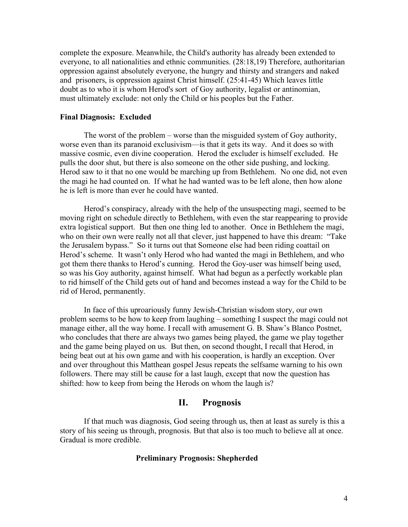complete the exposure. Meanwhile, the Child's authority has already been extended to everyone, to all nationalities and ethnic communities. (28:18,19) Therefore, authoritarian oppression against absolutely everyone, the hungry and thirsty and strangers and naked and prisoners, is oppression against Christ himself. (25:41-45) Which leaves little doubt as to who it is whom Herod's sort of Goy authority, legalist or antinomian, must ultimately exclude: not only the Child or his peoples but the Father.

#### **Final Diagnosis: Excluded**

The worst of the problem – worse than the misguided system of Goy authority, worse even than its paranoid exclusivism—is that it gets its way. And it does so with massive cosmic, even divine cooperation. Herod the excluder is himself excluded. He pulls the door shut, but there is also someone on the other side pushing, and locking. Herod saw to it that no one would be marching up from Bethlehem. No one did, not even the magi he had counted on. If what he had wanted was to be left alone, then how alone he is left is more than ever he could have wanted.

Herod's conspiracy, already with the help of the unsuspecting magi, seemed to be moving right on schedule directly to Bethlehem, with even the star reappearing to provide extra logistical support. But then one thing led to another. Once in Bethlehem the magi, who on their own were really not all that clever, just happened to have this dream: "Take" the Jerusalem bypass." So it turns out that Someone else had been riding coattail on Herod's scheme. It wasn't only Herod who had wanted the magi in Bethlehem, and who got them there thanks to Herod's cunning. Herod the Goy-user was himself being used, so was his Goy authority, against himself. What had begun as a perfectly workable plan to rid himself of the Child gets out of hand and becomes instead a way for the Child to be rid of Herod, permanently.

In face of this uproariously funny Jewish-Christian wisdom story, our own problem seems to be how to keep from laughing – something I suspect the magi could not manage either, all the way home. I recall with amusement G. B. Shaw's Blanco Postnet, who concludes that there are always two games being played, the game we play together and the game being played on us. But then, on second thought, I recall that Herod, in being beat out at his own game and with his cooperation, is hardly an exception. Over and over throughout this Matthean gospel Jesus repeats the selfsame warning to his own followers. There may still be cause for a last laugh, except that now the question has shifted: how to keep from being the Herods on whom the laugh is?

## **II. Prognosis**

If that much was diagnosis, God seeing through us, then at least as surely is this a story of his seeing us through, prognosis. But that also is too much to believe all at once. Gradual is more credible.

#### **Preliminary Prognosis: Shepherded**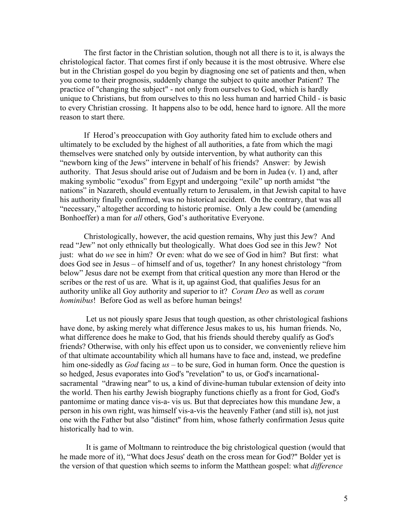The first factor in the Christian solution, though not all there is to it, is always the christological factor. That comes first if only because it is the most obtrusive. Where else but in the Christian gospel do you begin by diagnosing one set of patients and then, when you come to their prognosis, suddenly change the subject to quite another Patient? The practice of "changing the subject" - not only from ourselves to God, which is hardly unique to Christians, but from ourselves to this no less human and harried Child - is basic to every Christian crossing. It happens also to be odd, hence hard to ignore. All the more reason to start there.

If Herod's preoccupation with Goy authority fated him to exclude others and ultimately to be excluded by the highest of all authorities, a fate from which the magi themselves were snatched only by outside intervention, by what authority can this "newborn king of the Jews" intervene in behalf of his friends? Answer: by Jewish authority. That Jesus should arise out of Judaism and be born in Judea (v. 1) and, after making symbolic "exodus" from Egypt and undergoing "exile" up north amidst "the nations" in Nazareth, should eventually return to Jerusalem, in that Jewish capital to have his authority finally confirmed, was no historical accident. On the contrary, that was all "necessary," altogether according to historic promise. Only a Jew could be (amending Bonhoeffer) a man for *all* others, God's authoritative Everyone.

Christologically, however, the acid question remains, Why just this Jew? And read "Jew" not only ethnically but theologically. What does God see in this Jew? Not just: what do *we* see in him? Or even: what do we see of God in him? But first: what does God see in Jesus – of himself and of us, together? In any honest christology "from below" Jesus dare not be exempt from that critical question any more than Herod or the scribes or the rest of us are. What is it, up against God, that qualifies Jesus for an authority unlike all Goy authority and superior to it? *Coram Deo* as well as *coram hominibus*! Before God as well as before human beings!

Let us not piously spare Jesus that tough question, as other christological fashions have done, by asking merely what difference Jesus makes to us, his human friends. No, what difference does he make to God, that his friends should thereby qualify as God's friends? Otherwise, with only his effect upon us to consider, we conveniently relieve him of that ultimate accountability which all humans have to face and, instead, we predefine him one-sidedly as *God* facing *us* – to be sure, God in human form. Once the question is so hedged, Jesus evaporates into God's "revelation" to us, or God's incarnationalsacramental "drawing near" to us, a kind of divine-human tubular extension of deity into the world. Then his earthy Jewish biography functions chiefly as a front for God, God's pantomime or mating dance vis-a- vis us. But that depreciates how this mundane Jew, a person in his own right, was himself vis-a-vis the heavenly Father (and still is), not just one with the Father but also "distinct" from him, whose fatherly confirmation Jesus quite historically had to win.

It is game of Moltmann to reintroduce the big christological question (would that he made more of it), "What docs Jesus' death on the cross mean for God?" Bolder yet is the version of that question which seems to inform the Matthean gospel: what *difference*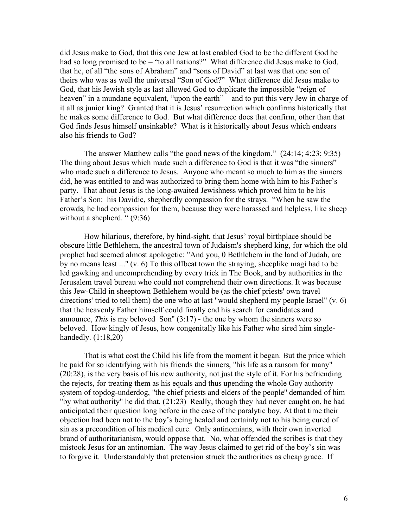did Jesus make to God, that this one Jew at last enabled God to be the different God he had so long promised to be – "to all nations?" What difference did Jesus make to God, that he, of all "the sons of Abraham" and "sons of David" at last was that one son of theirs who was as well the universal "Son of God?" What difference did Jesus make to God, that his Jewish style as last allowed God to duplicate the impossible "reign of heaven" in a mundane equivalent, "upon the earth" – and to put this very Jew in charge of it all as junior king? Granted that it is Jesus' resurrection which confirms historically that he makes some difference to God. But what difference does that confirm, other than that God finds Jesus himself unsinkable? What is it historically about Jesus which endears also his friends to God?

The answer Matthew calls "the good news of the kingdom." (24:14; 4:23; 9:35) The thing about Jesus which made such a difference to God is that it was "the sinners" who made such a difference to Jesus. Anyone who meant so much to him as the sinners did, he was entitled to and was authorized to bring them home with him to his Father's party. That about Jesus is the long-awaited Jewishness which proved him to be his Father's Son: his Davidic, shepherdly compassion for the strays. "When he saw the crowds, he had compassion for them, because they were harassed and helpless, like sheep without a shepherd. " (9:36)

How hilarious, therefore, by hind-sight, that Jesus' royal birthplace should be obscure little Bethlehem, the ancestral town of Judaism's shepherd king, for which the old prophet had seemed almost apologetic: "And you, 0 Bethlehem in the land of Judah, are by no means least ..." (v. 6) To this offbeat town the straying, sheeplike magi had to be led gawking and uncomprehending by every trick in The Book, and by authorities in the Jerusalem travel bureau who could not comprehend their own directions. It was because this Jew-Child in sheeptown Bethlehem would be (as the chief priests' own travel directions' tried to tell them) the one who at last "would shepherd my people Israel" (v. 6) that the heavenly Father himself could finally end his search for candidates and announce, *This* is my beloved Son" (3:17) - the one by whom the sinners were so beloved. How kingly of Jesus, how congenitally like his Father who sired him singlehandedly. (1:18,20)

That is what cost the Child his life from the moment it began. But the price which he paid for so identifying with his friends the sinners, "his life as a ransom for many" (20:28), is the very basis of his new authority, not just the style of it. For his befriending the rejects, for treating them as his equals and thus upending the whole Goy authority system of topdog-underdog, "the chief priests and elders of the people'' demanded of him "by what authority" he did that. (21:23) Really, though they had never caught on, he had anticipated their question long before in the case of the paralytic boy. At that time their objection had been not to the boy's being healed and certainly not to his being cured of sin as a precondition of his medical cure. Only antinomians, with their own inverted brand of authoritarianism, would oppose that. No, what offended the scribes is that they mistook Jesus for an antinomian. The way Jesus claimed to get rid of the boy's sin was to forgive it. Understandably that pretension struck the authorities as cheap grace. If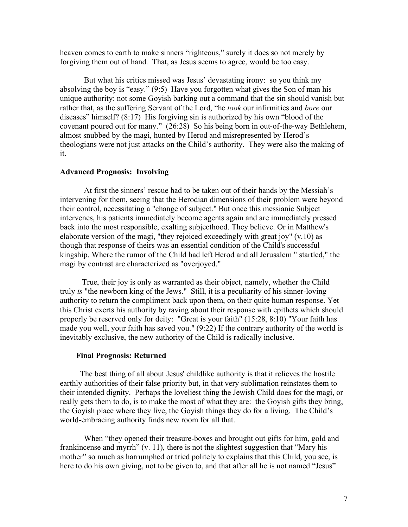heaven comes to earth to make sinners "righteous," surely it does so not merely by forgiving them out of hand. That, as Jesus seems to agree, would be too easy.

But what his critics missed was Jesus' devastating irony: so you think my absolving the boy is "easy." (9:5) Have you forgotten what gives the Son of man his unique authority: not some Goyish barking out a command that the sin should vanish but rather that, as the suffering Servant of the Lord, "he *took* our infirmities and *bore* our diseases" himself? (8:17) His forgiving sin is authorized by his own "blood of the covenant poured out for many." (26:28) So his being born in out-of-the-way Bethlehem, almost snubbed by the magi, hunted by Herod and misrepresented by Herod's theologians were not just attacks on the Child's authority. They were also the making of it.

#### **Advanced Prognosis: Involving**

At first the sinners' rescue had to be taken out of their hands by the Messiah's intervening for them, seeing that the Herodian dimensions of their problem were beyond their control, necessitating a "change of subject." But once this messianic Subject intervenes, his patients immediately become agents again and are immediately pressed back into the most responsible, exalting subjecthood. They believe. Or in Matthew's elaborate version of the magi, "they rejoiced exceedingly with great joy" (v.10) as though that response of theirs was an essential condition of the Child's successful kingship. Where the rumor of the Child had left Herod and all Jerusalem " startled," the magi by contrast are characterized as "overjoyed."

True, their joy is only as warranted as their object, namely, whether the Child truly *is* "the newborn king of the Jews." Still, it is a peculiarity of his sinner-loving authority to return the compliment back upon them, on their quite human response. Yet this Christ exerts his authority by raving about their response with epithets which should properly be reserved only for deity: "Great is your faith" (15:28, 8:10) "Your faith has made you well, your faith has saved you." (9:22) If the contrary authority of the world is inevitably exclusive, the new authority of the Child is radically inclusive.

#### **Final Prognosis: Returned**

The best thing of all about Jesus' childlike authority is that it relieves the hostile earthly authorities of their false priority but, in that very sublimation reinstates them to their intended dignity. Perhaps the loveliest thing the Jewish Child does for the magi, or really gets them to do, is to make the most of what they are: the Goyish gifts they bring, the Goyish place where they live, the Goyish things they do for a living. The Child's world-embracing authority finds new room for all that.

When "they opened their treasure-boxes and brought out gifts for him, gold and frankincense and myrrh" (v. 11), there is not the slightest suggestion that "Mary his mother" so much as harrumphed or tried politely to explains that this Child, you see, is here to do his own giving, not to be given to, and that after all he is not named "Jesus"